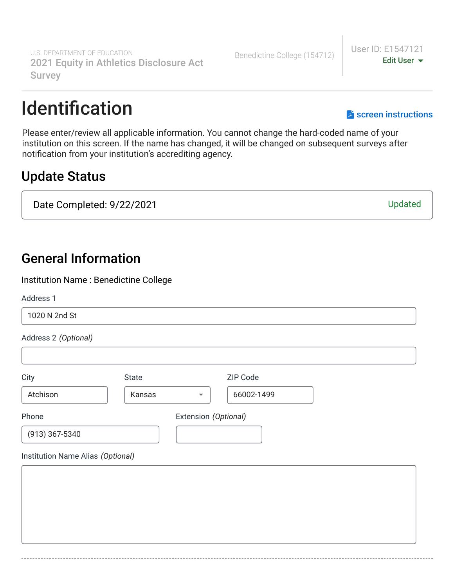## Identification [screen instructions](https://surveys.ope.ed.gov/athletics2k21/wwwroot/documents/Institution-Identification.pdf)

Please enter/review all applicable information. You cannot change the hard-coded name of your institution on this screen. If the name has changed, it will be changed on subsequent surveys after notification from your institution's accrediting agency.

## Update Status

Date Completed: 9/22/2021 Updated

## General Information

Institution Name : Benedictine College

### Address 1

# Address 2 *(Optional)* City **State** State **ZIP** Code Phone **Extension** *(Optional)* Institution Name Alias *(Optional)* 1020 N 2nd St Atchison  $\vert$  Kansas  $\vert$  66002-1499 (913) 367-5340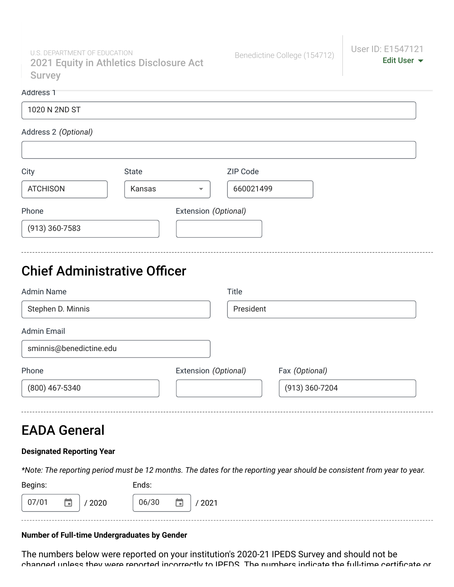U.S. DEPARTMENT OF EDUCATION Charles J. Garten 2021 Equity in Athletics Disclosure Act Survey

#### Address 1

| 1020 N 2ND ST |  |  |
|---------------|--|--|
|               |  |  |

#### Address 2 *(Optional)*

| City             | <b>State</b> |                          | ZIP Code  |
|------------------|--------------|--------------------------|-----------|
| <b>ATCHISON</b>  | Kansas       | $\overline{\phantom{a}}$ | 660021499 |
| Phone            |              | Extension (Optional)     |           |
| $(913)$ 360-7583 |              |                          |           |

## Chief Administrative Officer

| <b>Admin Name</b>       | <b>Title</b>         |                |
|-------------------------|----------------------|----------------|
| Stephen D. Minnis       |                      | President      |
| <b>Admin Email</b>      |                      |                |
| sminnis@benedictine.edu |                      |                |
| Phone                   | Extension (Optional) | Fax (Optional) |
| (800) 467-5340          |                      | (913) 360-7204 |

## EADA General

### **Designated Reporting Year**

*\*Note: The reporting period must be 12 months. The dates for the reporting year should be consistent from year to year.*

| Begins:                  | Ends:               |
|--------------------------|---------------------|
| ٠<br>07/01<br>2020<br>H. | 06/30<br>2021<br>m. |

### **Number of Full-time Undergraduates by Gender**

The numbers below were reported on your institution's 2020-21 IPEDS Survey and should not be changed unless they were reported incorrectly to IPEDS The numbers indicate the full-time certificate or